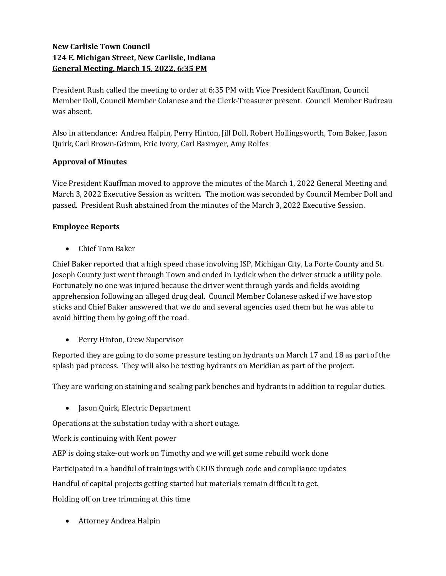# New Carlisle Town Council 124 E. Michigan Street, New Carlisle, Indiana General Meeting, March 15, 2022, 6:35 PM

President Rush called the meeting to order at 6:35 PM with Vice President Kauffman, Council Member Doll, Council Member Colanese and the Clerk-Treasurer present. Council Member Budreau was absent.

Also in attendance: Andrea Halpin, Perry Hinton, Jill Doll, Robert Hollingsworth, Tom Baker, Jason Quirk, Carl Brown-Grimm, Eric Ivory, Carl Baxmyer, Amy Rolfes

# Approval of Minutes

Vice President Kauffman moved to approve the minutes of the March 1, 2022 General Meeting and March 3, 2022 Executive Session as written. The motion was seconded by Council Member Doll and passed. President Rush abstained from the minutes of the March 3, 2022 Executive Session.

## Employee Reports

Chief Tom Baker

Chief Baker reported that a high speed chase involving ISP, Michigan City, La Porte County and St. Joseph County just went through Town and ended in Lydick when the driver struck a utility pole. Fortunately no one was injured because the driver went through yards and fields avoiding apprehension following an alleged drug deal. Council Member Colanese asked if we have stop sticks and Chief Baker answered that we do and several agencies used them but he was able to avoid hitting them by going off the road.

• Perry Hinton, Crew Supervisor

Reported they are going to do some pressure testing on hydrants on March 17 and 18 as part of the splash pad process. They will also be testing hydrants on Meridian as part of the project.

They are working on staining and sealing park benches and hydrants in addition to regular duties.

• Jason Quirk, Electric Department

Operations at the substation today with a short outage.

Work is continuing with Kent power

AEP is doing stake-out work on Timothy and we will get some rebuild work done

Participated in a handful of trainings with CEUS through code and compliance updates

Handful of capital projects getting started but materials remain difficult to get.

Holding off on tree trimming at this time

Attorney Andrea Halpin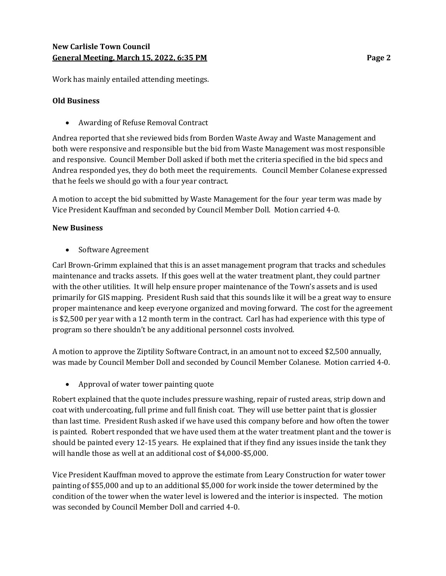## New Carlisle Town Council General Meeting, March 15, 2022, 6:35 PM **Page 2** Page 2

Work has mainly entailed attending meetings.

## Old Business

Awarding of Refuse Removal Contract

Andrea reported that she reviewed bids from Borden Waste Away and Waste Management and both were responsive and responsible but the bid from Waste Management was most responsible and responsive. Council Member Doll asked if both met the criteria specified in the bid specs and Andrea responded yes, they do both meet the requirements. Council Member Colanese expressed that he feels we should go with a four year contract.

A motion to accept the bid submitted by Waste Management for the four year term was made by Vice President Kauffman and seconded by Council Member Doll. Motion carried 4-0.

## New Business

• Software Agreement

Carl Brown-Grimm explained that this is an asset management program that tracks and schedules maintenance and tracks assets. If this goes well at the water treatment plant, they could partner with the other utilities. It will help ensure proper maintenance of the Town's assets and is used primarily for GIS mapping. President Rush said that this sounds like it will be a great way to ensure proper maintenance and keep everyone organized and moving forward. The cost for the agreement is \$2,500 per year with a 12 month term in the contract. Carl has had experience with this type of program so there shouldn't be any additional personnel costs involved.

A motion to approve the Ziptility Software Contract, in an amount not to exceed \$2,500 annually, was made by Council Member Doll and seconded by Council Member Colanese. Motion carried 4-0.

• Approval of water tower painting quote

Robert explained that the quote includes pressure washing, repair of rusted areas, strip down and coat with undercoating, full prime and full finish coat. They will use better paint that is glossier than last time. President Rush asked if we have used this company before and how often the tower is painted. Robert responded that we have used them at the water treatment plant and the tower is should be painted every 12-15 years. He explained that if they find any issues inside the tank they will handle those as well at an additional cost of \$4,000-\$5,000.

Vice President Kauffman moved to approve the estimate from Leary Construction for water tower painting of \$55,000 and up to an additional \$5,000 for work inside the tower determined by the condition of the tower when the water level is lowered and the interior is inspected. The motion was seconded by Council Member Doll and carried 4-0.